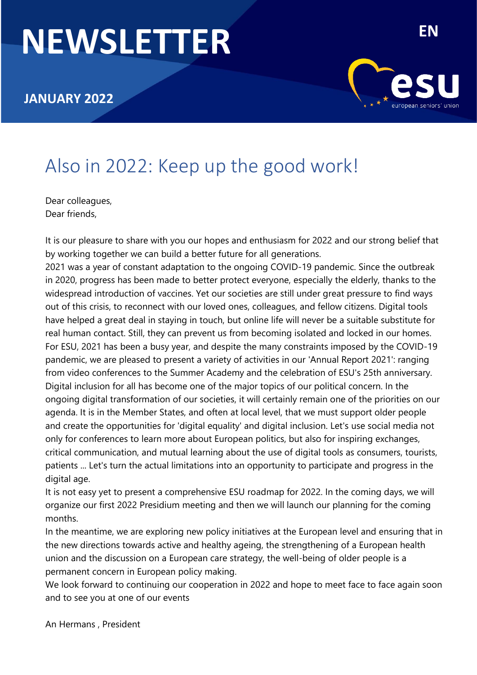# **NEWSLETTER**



# Also in 2022: Keep up the good work!

Dear colleagues, Dear friends,

It is our pleasure to share with you our hopes and enthusiasm for 2022 and our strong belief that by working together we can build a better future for all generations.

2021 was a year of constant adaptation to the ongoing COVID-19 pandemic. Since the outbreak in 2020, progress has been made to better protect everyone, especially the elderly, thanks to the widespread introduction of vaccines. Yet our societies are still under great pressure to find ways out of this crisis, to reconnect with our loved ones, colleagues, and fellow citizens. Digital tools have helped a great deal in staying in touch, but online life will never be a suitable substitute for real human contact. Still, they can prevent us from becoming isolated and locked in our homes. For ESU, 2021 has been a busy year, and despite the many constraints imposed by the COVID-19 pandemic, we are pleased to present a variety of activities in our 'Annual Report 2021': ranging from video conferences to the Summer Academy and the celebration of ESU's 25th anniversary. Digital inclusion for all has become one of the major topics of our political concern. In the ongoing digital transformation of our societies, it will certainly remain one of the priorities on our agenda. It is in the Member States, and often at local level, that we must support older people and create the opportunities for 'digital equality' and digital inclusion. Let's use social media not only for conferences to learn more about European politics, but also for inspiring exchanges, critical communication, and mutual learning about the use of digital tools as consumers, tourists, patients ... Let's turn the actual limitations into an opportunity to participate and progress in the digital age.

It is not easy yet to present a comprehensive ESU roadmap for 2022. In the coming days, we will organize our first 2022 Presidium meeting and then we will launch our planning for the coming months.

In the meantime, we are exploring new policy initiatives at the European level and ensuring that in the new directions towards active and healthy ageing, the strengthening of a European health union and the discussion on a European care strategy, the well-being of older people is a permanent concern in European policy making.

We look forward to continuing our cooperation in 2022 and hope to meet face to face again soon and to see you at one of our events

An Hermans , President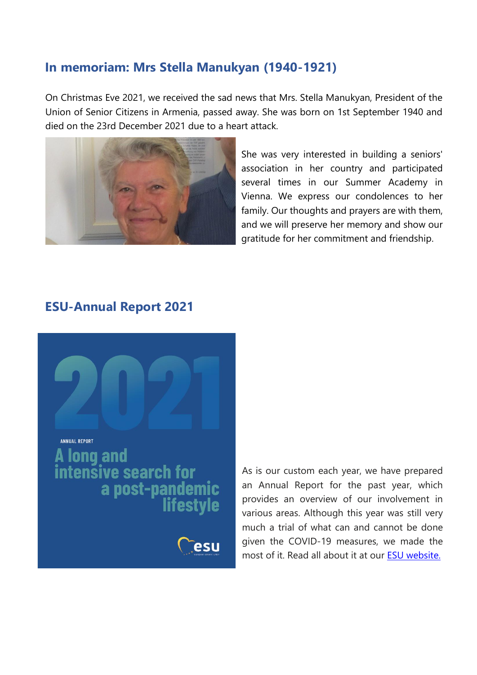## **In memoriam: Mrs Stella Manukyan (1940-1921)**

On Christmas Eve 2021, we received the sad news that Mrs. Stella Manukyan, President of the Union of Senior Citizens in Armenia, passed away. She was born on 1st September 1940 and died on the 23rd December 2021 due to a heart attack.



She was very interested in building a seniors' association in her country and participated several times in our Summer Academy in Vienna. We express our condolences to her family. Our thoughts and prayers are with them, and we will preserve her memory and show our gratitude for her commitment and friendship.

#### **ESU-Annual Report 2021**



As is our custom each year, we have prepared an Annual Report for the past year, which provides an overview of our involvement in various areas. Although this year was still very much a trial of what can and cannot be done given the COVID-19 measures, we made the most of it. Read all about it at our ESU [website.](http://esu-epp.eu/wp-content/uploads/2021/12/ESU_JV_2021_digitaal.pdf?fbclid=IwAR3co6Oeq37-eXOPntunC5BASfT2wVNXEJtHAyHMQGH5PnI2PvUo2TvPeF0)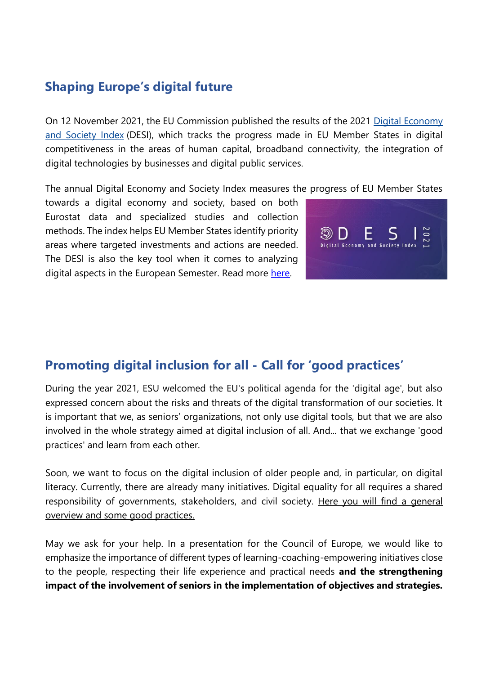# **Shaping Europe's digital future**

On 12 November 2021, the EU Commission published the results of the 2021 [Digital Economy](https://digital-strategy.ec.europa.eu/en/policies/desi)  [and Society Index](https://digital-strategy.ec.europa.eu/en/policies/desi) (DESI), which tracks the progress made in EU Member States in digital competitiveness in the areas of human capital, broadband connectivity, the integration of digital technologies by businesses and digital public services.

The annual Digital Economy and Society Index measures the progress of EU Member States

towards a digital economy and society, based on both Eurostat data and specialized studies and collection methods. The index helps EU Member States identify priority areas where targeted investments and actions are needed. The DESI is also the key tool when it comes to analyzing digital aspects in the European Semester. Read more [here.](https://ec.europa.eu/commission/presscorner/detail/en/ip_21_548)



# **Promoting digital inclusion for all - Call for 'good practices'**

During the year 2021, ESU welcomed the EU's political agenda for the 'digital age', but also expressed concern about the risks and threats of the digital transformation of our societies. It is important that we, as seniors' organizations, not only use digital tools, but that we are also involved in the whole strategy aimed at digital inclusion of all. And... that we exchange 'good practices' and learn from each other.

Soon, we want to focus on the digital inclusion of older people and, in particular, on digital literacy. Currently, there are already many initiatives. Digital equality for all requires a shared responsibility of governments, stakeholders, and civil society. Here you will find a general [overview and some good practices.](https://unece.org/sites/default/files/2021-07/PB26-ECE-WG.1-38.pdf)

May we ask for your help. In a presentation for the Council of Europe, we would like to emphasize the importance of different types of learning-coaching-empowering initiatives close to the people, respecting their life experience and practical needs **and the strengthening impact of the involvement of seniors in the implementation of objectives and strategies.**